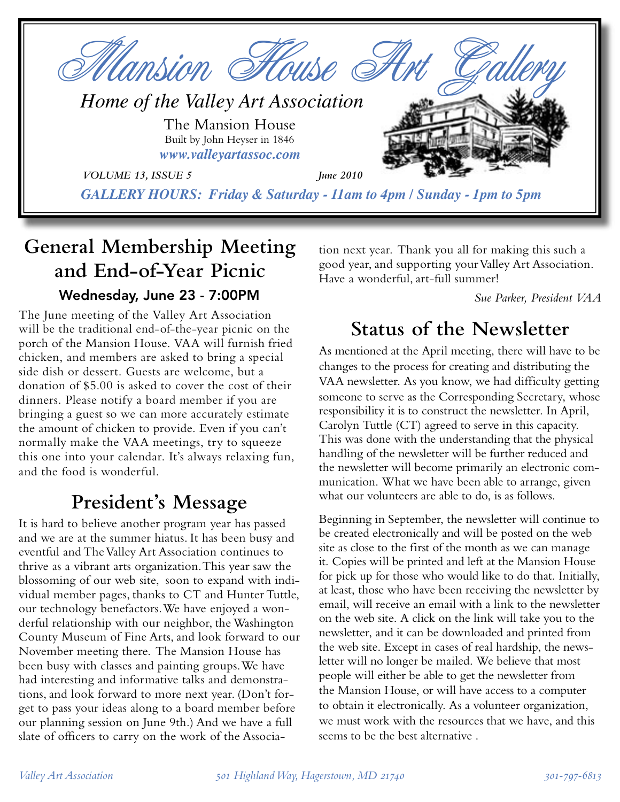

# **General Membership Meeting and End-of-Year Picnic**

#### Wednesday, June 23 - 7:00PM

The June meeting of the Valley Art Association will be the traditional end-of-the-year picnic on the porch of the Mansion House. VAA will furnish fried chicken, and members are asked to bring a special side dish or dessert. Guests are welcome, but a donation of \$5.00 is asked to cover the cost of their dinners. Please notify a board member if you are bringing a guest so we can more accurately estimate the amount of chicken to provide. Even if you can't normally make the VAA meetings, try to squeeze this one into your calendar. It's always relaxing fun, and the food is wonderful.

## **President's Message**

It is hard to believe another program year has passed and we are at the summer hiatus. It has been busy and eventful and The Valley Art Association continues to thrive as a vibrant arts organization. This year saw the blossoming of our web site, soon to expand with individual member pages, thanks to CT and Hunter Tuttle, our technology benefactors. We have enjoyed a wonderful relationship with our neighbor, the Washington County Museum of Fine Arts, and look forward to our November meeting there. The Mansion House has been busy with classes and painting groups. We have had interesting and informative talks and demonstrations, and look forward to more next year. (Don't forget to pass your ideas along to a board member before our planning session on June 9th.) And we have a full slate of officers to carry on the work of the Associa-

tion next year. Thank you all for making this such a good year, and supporting your Valley Art Association. Have a wonderful, art-full summer!

*Sue Parker, President VAA*

## **Status of the Newsletter**

As mentioned at the April meeting, there will have to be changes to the process for creating and distributing the VAA newsletter. As you know, we had difficulty getting someone to serve as the Corresponding Secretary, whose responsibility it is to construct the newsletter. In April, Carolyn Tuttle (CT) agreed to serve in this capacity. This was done with the understanding that the physical handling of the newsletter will be further reduced and the newsletter will become primarily an electronic communication. What we have been able to arrange, given what our volunteers are able to do, is as follows.

Beginning in September, the newsletter will continue to be created electronically and will be posted on the web site as close to the first of the month as we can manage it. Copies will be printed and left at the Mansion House for pick up for those who would like to do that. Initially, at least, those who have been receiving the newsletter by email, will receive an email with a link to the newsletter on the web site. A click on the link will take you to the newsletter, and it can be downloaded and printed from the web site. Except in cases of real hardship, the newsletter will no longer be mailed. We believe that most people will either be able to get the newsletter from the Mansion House, or will have access to a computer to obtain it electronically. As a volunteer organization, we must work with the resources that we have, and this seems to be the best alternative .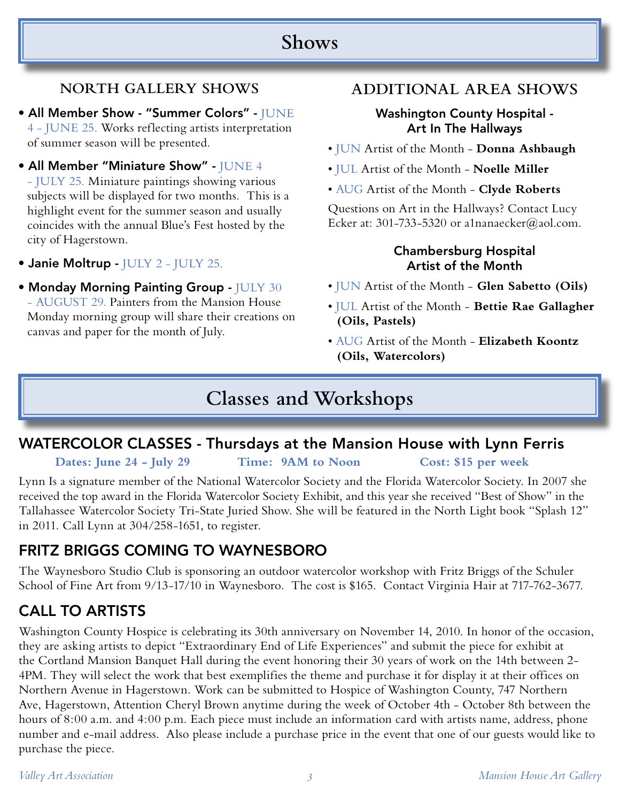## **Shows**

#### **NORTH GALLERY SHOWS**

- All Member Show "Summer Colors" JUNE 4 - JUNE 25. Works reflecting artists interpretation of summer season will be presented.
- All Member "Miniature Show" JUNE 4

- JULY 25. Miniature paintings showing various subjects will be displayed for two months. This is a highlight event for the summer season and usually coincides with the annual Blue's Fest hosted by the city of Hagerstown.

- Janie Moltrup JULY 2 JULY 25.
- Monday Morning Painting Group JULY 30 - AUGUST 29. Painters from the Mansion House Monday morning group will share their creations on canvas and paper for the month of July.

#### **ADDITIONAL AREA SHOWS**

#### Washington County Hospital - Art In The Hallways

- JUN Artist of the Month **Donna Ashbaugh**
- JUL Artist of the Month **Noelle Miller**
- AUG Artist of the Month **Clyde Roberts**

Questions on Art in the Hallways? Contact Lucy Ecker at: 301-733-5320 or a1nanaecker@aol.com.

#### Chambersburg Hospital Artist of the Month

- JUN Artist of the Month - **Glen Sabetto (Oils)**
- JUL Artist of the Month **Bettie Rae Gallagher (Oils, Pastels)**
- AUG Artist of the Month **Elizabeth Koontz (Oils, Watercolors)**

## **Classes and Workshops**

### WATERCOLOR CLASSES - Thursdays at the Mansion House with Lynn Ferris

**Dates: June 24 - July 29 Time: 9AM to Noon Cost: \$15 per week**

Lynn Is a signature member of the National Watercolor Society and the Florida Watercolor Society. In 2007 she received the top award in the Florida Watercolor Society Exhibit, and this year she received "Best of Show" in the Tallahassee Watercolor Society Tri-State Juried Show. She will be featured in the North Light book "Splash 12" in 2011. Call Lynn at 304/258-1651, to register.

#### FRITZ BRIGGS COMING TO WAYNESBORO

The Waynesboro Studio Club is sponsoring an outdoor watercolor workshop with Fritz Briggs of the Schuler School of Fine Art from 9/13-17/10 in Waynesboro. The cost is \$165. Contact Virginia Hair at 717-762-3677.

## CALL TO ARTISTS

Washington County Hospice is celebrating its 30th anniversary on November 14, 2010. In honor of the occasion, they are asking artists to depict "Extraordinary End of Life Experiences" and submit the piece for exhibit at the Cortland Mansion Banquet Hall during the event honoring their 30 years of work on the 14th between 2- 4PM. They will select the work that best exemplifies the theme and purchase it for display it at their offices on Northern Avenue in Hagerstown. Work can be submitted to Hospice of Washington County, 747 Northern Ave, Hagerstown, Attention Cheryl Brown anytime during the week of October 4th - October 8th between the hours of 8:00 a.m. and 4:00 p.m. Each piece must include an information card with artists name, address, phone number and e-mail address. Also please include a purchase price in the event that one of our guests would like to purchase the piece.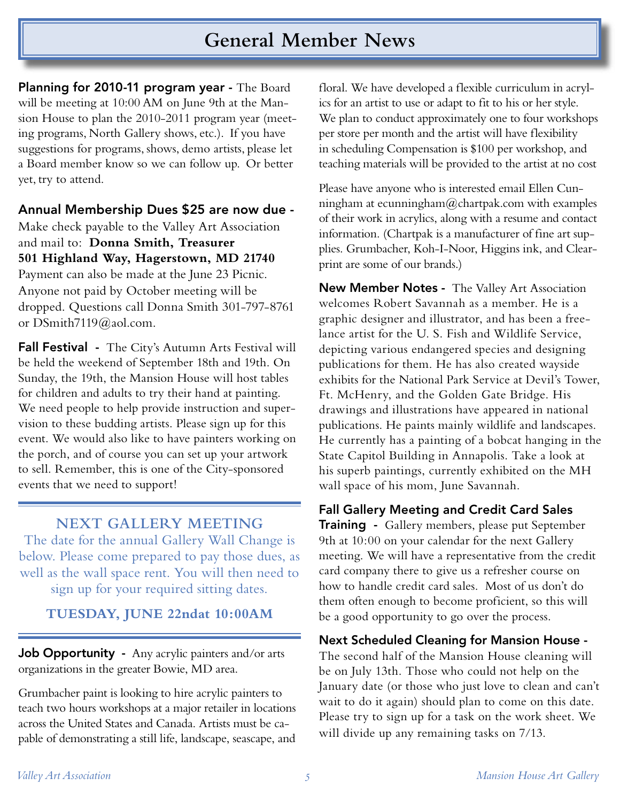## **General Member News**

Planning for 2010-11 program year - The Board will be meeting at 10:00 AM on June 9th at the Mansion House to plan the 2010-2011 program year (meeting programs, North Gallery shows, etc.). If you have suggestions for programs, shows, demo artists, please let a Board member know so we can follow up. Or better yet, try to attend.

Annual Membership Dues \$25 are now due -

Make check payable to the Valley Art Association and mail to: **Donna Smith, Treasurer 501 Highland Way, Hagerstown, MD 21740** Payment can also be made at the June 23 Picnic. Anyone not paid by October meeting will be dropped. Questions call Donna Smith 301-797-8761 or DSmith7119@aol.com.

Fall Festival - The City's Autumn Arts Festival will be held the weekend of September 18th and 19th. On Sunday, the 19th, the Mansion House will host tables for children and adults to try their hand at painting. We need people to help provide instruction and supervision to these budding artists. Please sign up for this event. We would also like to have painters working on the porch, and of course you can set up your artwork to sell. Remember, this is one of the City-sponsored events that we need to support!

#### **NEXT GALLERY MEETING**

The date for the annual Gallery Wall Change is below. Please come prepared to pay those dues, as well as the wall space rent. You will then need to sign up for your required sitting dates.

**TUESDAY, JUNE 22ndat 10:00AM**

Job Opportunity - Any acrylic painters and/or arts organizations in the greater Bowie, MD area.

Grumbacher paint is looking to hire acrylic painters to teach two hours workshops at a major retailer in locations across the United States and Canada. Artists must be capable of demonstrating a still life, landscape, seascape, and

floral. We have developed a flexible curriculum in acrylics for an artist to use or adapt to fit to his or her style. We plan to conduct approximately one to four workshops per store per month and the artist will have flexibility in scheduling Compensation is \$100 per workshop, and teaching materials will be provided to the artist at no cost

Please have anyone who is interested email Ellen Cunningham at ecunningham $@$ chartpak.com with examples of their work in acrylics, along with a resume and contact information. (Chartpak is a manufacturer of fine art supplies. Grumbacher, Koh-I-Noor, Higgins ink, and Clearprint are some of our brands.)

**New Member Notes -** The Valley Art Association welcomes Robert Savannah as a member. He is a graphic designer and illustrator, and has been a freelance artist for the U. S. Fish and Wildlife Service, depicting various endangered species and designing publications for them. He has also created wayside exhibits for the National Park Service at Devil's Tower, Ft. McHenry, and the Golden Gate Bridge. His drawings and illustrations have appeared in national publications. He paints mainly wildlife and landscapes. He currently has a painting of a bobcat hanging in the State Capitol Building in Annapolis. Take a look at his superb paintings, currently exhibited on the MH wall space of his mom, June Savannah.

Fall Gallery Meeting and Credit Card Sales

Training - Gallery members, please put September 9th at 10:00 on your calendar for the next Gallery meeting. We will have a representative from the credit card company there to give us a refresher course on how to handle credit card sales. Most of us don't do them often enough to become proficient, so this will be a good opportunity to go over the process.

#### Next Scheduled Cleaning for Mansion House -

The second half of the Mansion House cleaning will be on July 13th. Those who could not help on the January date (or those who just love to clean and can't wait to do it again) should plan to come on this date. Please try to sign up for a task on the work sheet. We will divide up any remaining tasks on  $7/13$ .